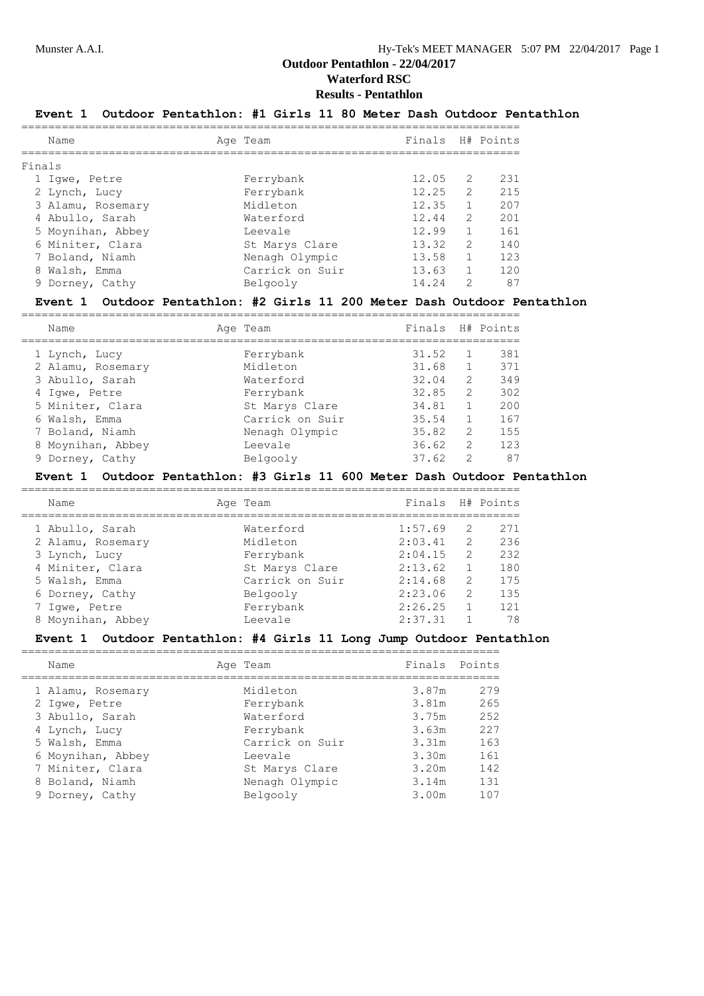# **Results - Pentathlon**

# **Event 1 Outdoor Pentathlon: #1 Girls 11 80 Meter Dash Outdoor Pentathlon**

|        | Name              | Age Team        | Finals H# Points |               |     |
|--------|-------------------|-----------------|------------------|---------------|-----|
| Finals |                   |                 |                  |               |     |
|        | 1 Iqwe, Petre     | Ferrybank       | 12.05            | -2            | 231 |
|        | 2 Lynch, Lucy     | Ferrybank       | 12.25            | $\mathcal{L}$ | 215 |
|        | 3 Alamu, Rosemary | Midleton        | 12.35            |               | 207 |
|        | 4 Abullo, Sarah   | Waterford       | 12.44            | $\mathcal{L}$ | 201 |
|        | 5 Moynihan, Abbey | Leevale         | 12.99            |               | 161 |
|        | 6 Miniter, Clara  | St Marys Clare  | 13.32            | $\mathcal{L}$ | 140 |
|        | 7 Boland, Niamh   | Nenagh Olympic  | 13.58            |               | 123 |
|        | 8 Walsh, Emma     | Carrick on Suir | 13.63            |               | 120 |
|        | 9 Dorney, Cathy   | Belgooly        | 14.24            | 2             | 87  |

#### **Event 1 Outdoor Pentathlon: #2 Girls 11 200 Meter Dash Outdoor Pentathlon**

| Name              | Age Team        | Finals |               | H# Points |
|-------------------|-----------------|--------|---------------|-----------|
| 1 Lynch, Lucy     | Ferrybank       | 31.52  |               | 381       |
| 2 Alamu, Rosemary | Midleton        | 31.68  |               | 371       |
| 3 Abullo, Sarah   | Waterford       | 32.04  | $\mathcal{L}$ | 349       |
| 4 Iqwe, Petre     | Ferrybank       | 32.85  | $\mathcal{L}$ | 302       |
| 5 Miniter, Clara  | St Marys Clare  | 34.81  |               | 200       |
| 6 Walsh, Emma     | Carrick on Suir | 35.54  |               | 167       |
| 7 Boland, Niamh   | Nenagh Olympic  | 35.82  | $\mathcal{L}$ | 155       |
| 8 Moynihan, Abbey | Leevale         | 36.62  | $\mathcal{L}$ | 123       |
| 9 Dorney, Cathy   | Belgooly        | 37.62  | $\mathcal{D}$ | 87        |

#### **Event 1 Outdoor Pentathlon: #3 Girls 11 600 Meter Dash Outdoor Pentathlon**

| Name              | Age Team        | Finals H# Points |   |     |
|-------------------|-----------------|------------------|---|-----|
| 1 Abullo, Sarah   | Waterford       | 1:57.69          | 2 | 271 |
| 2 Alamu, Rosemary | Midleton        | 2:03.41          | 2 | 236 |
| 3 Lynch, Lucy     | Ferrybank       | 2:04.15          | 2 | 232 |
| 4 Miniter, Clara  | St Marys Clare  | 2:13.62          |   | 180 |
| 5 Walsh, Emma     | Carrick on Suir | 2:14.68          | 2 | 175 |
| 6 Dorney, Cathy   | Belgooly        | 2:23.06          | 2 | 135 |
| 7 Igwe, Petre     | Ferrybank       | 2:26.25          |   | 121 |
| 8 Moynihan, Abbey | Leevale         | 2:37.31          |   | 78  |

#### **Event 1 Outdoor Pentathlon: #4 Girls 11 Long Jump Outdoor Pentathlon**

| Name              | Age Team        | Finals Points |     |
|-------------------|-----------------|---------------|-----|
| 1 Alamu, Rosemary | Midleton        | 3.87m         | 279 |
| 2 Iqwe, Petre     | Ferrybank       | 3.81m         | 265 |
| 3 Abullo, Sarah   | Waterford       | 3.75m         | 252 |
| 4 Lynch, Lucy     | Ferrybank       | 3.63m         | 227 |
| 5 Walsh, Emma     | Carrick on Suir | 3.31m         | 163 |
| 6 Moynihan, Abbey | Leevale         | 3.30m         | 161 |
| 7 Miniter, Clara  | St Marys Clare  | 3.20m         | 142 |
| 8 Boland, Niamh   | Nenagh Olympic  | 3.14m         | 131 |
| 9 Dorney, Cathy   | Belgooly        | 3.00m         | 107 |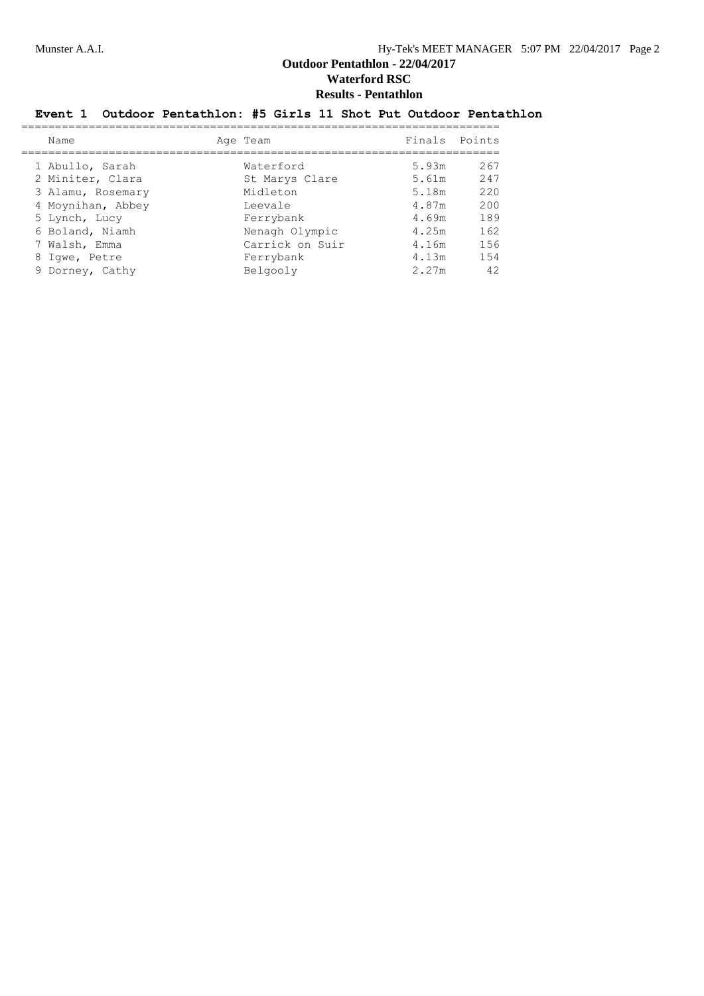# **Event 1 Outdoor Pentathlon: #5 Girls 11 Shot Put Outdoor Pentathlon**

| Name              | Age Team        | Finals Points |     |
|-------------------|-----------------|---------------|-----|
| 1 Abullo, Sarah   | Waterford       | 5.93m         | 267 |
| 2 Miniter, Clara  | St Marys Clare  | 5.61m         | 247 |
| 3 Alamu, Rosemary | Midleton        | 5.18m         | 220 |
| 4 Moynihan, Abbey | Leevale         | 4.87m         | 200 |
| 5 Lynch, Lucy     | Ferrybank       | 4.69m         | 189 |
| 6 Boland, Niamh   | Nenagh Olympic  | 4.25m         | 162 |
| 7 Walsh, Emma     | Carrick on Suir | 4.16m         | 156 |
| 8 Iqwe, Petre     | Ferrybank       | 4.13m         | 154 |
| 9 Dorney, Cathy   | Belgooly        | 2.27m         | 42  |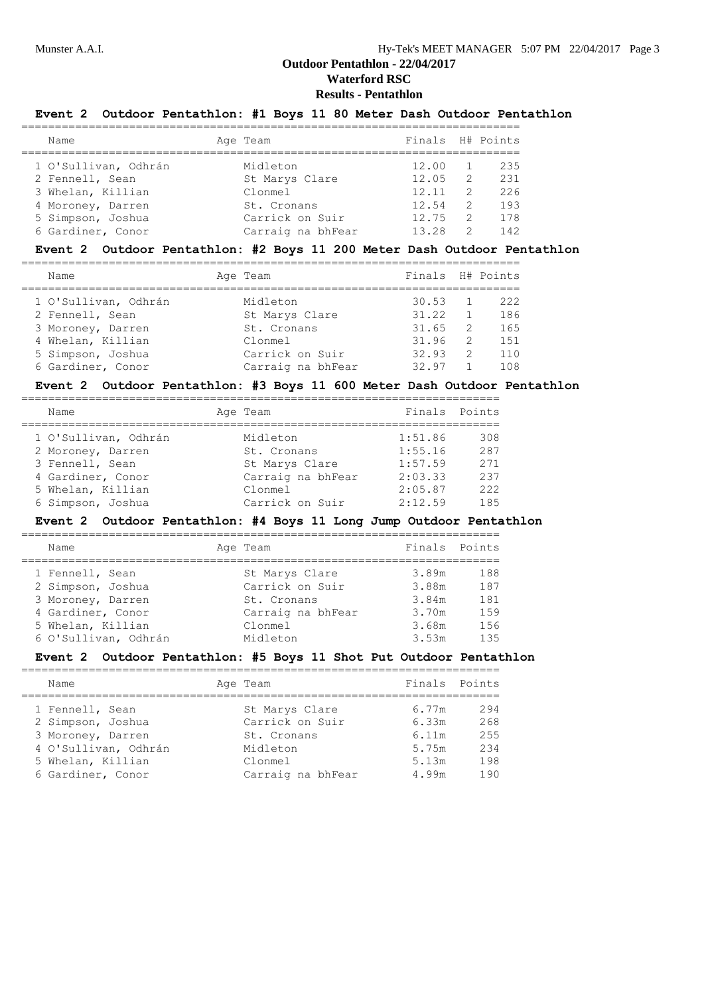#### **Results - Pentathlon**

## **Event 2 Outdoor Pentathlon: #1 Boys 11 80 Meter Dash Outdoor Pentathlon**

| Name                 | Age Team          | Finals H# Points |               |     |
|----------------------|-------------------|------------------|---------------|-----|
| 1 O'Sullivan, Odhrán | Midleton          | 12.00            |               | 235 |
| 2 Fennell, Sean      | St Marys Clare    | 12.05            | $\mathcal{L}$ | 231 |
| 3 Whelan, Killian    | Clonmel           | 12.11            | $\mathcal{L}$ | 226 |
| 4 Moroney, Darren    | St. Cronans       | 12.54            | $\mathcal{L}$ | 193 |
| 5 Simpson, Joshua    | Carrick on Suir   | 12.75            | $\mathcal{L}$ | 178 |
| 6 Gardiner, Conor    | Carraig na bhFear | 13.28            | 2             | 142 |
|                      |                   |                  |               |     |

## **Event 2 Outdoor Pentathlon: #2 Boys 11 200 Meter Dash Outdoor Pentathlon**

| Name                 | Age Team          | Finals H# Points |                |      |
|----------------------|-------------------|------------------|----------------|------|
| 1 O'Sullivan, Odhrán | Midleton          | 30.53            |                | 222  |
| 2 Fennell, Sean      | St Marys Clare    | 31.22            |                | 186  |
| 3 Moroney, Darren    | St. Cronans       | 31.65            | $\overline{2}$ | 165  |
| 4 Whelan, Killian    | Clonmel           | 31.96            | $\mathcal{L}$  | 1.51 |
| 5 Simpson, Joshua    | Carrick on Suir   | 32.93            | 2              | 110  |
| 6 Gardiner, Conor    | Carraig na bhFear | 32.97            |                | 108  |

#### **Event 2 Outdoor Pentathlon: #3 Boys 11 600 Meter Dash Outdoor Pentathlon**

| Name                 | Age Team          | Finals Points |     |
|----------------------|-------------------|---------------|-----|
| 1 O'Sullivan, Odhrán | Midleton          | 1:51.86       | 308 |
| 2 Moroney, Darren    | St. Cronans       | 1:55.16       | 287 |
| 3 Fennell, Sean      | St Marys Clare    | 1:57.59       | 271 |
| 4 Gardiner, Conor    | Carraig na bhFear | 2:03.33       | 237 |
| 5 Whelan, Killian    | Clonmel           | 2:05.87       | 222 |
| 6 Simpson, Joshua    | Carrick on Suir   | 2:12.59       | 185 |

#### **Event 2 Outdoor Pentathlon: #4 Boys 11 Long Jump Outdoor Pentathlon**

| Name                 | Age Team          | Finals Points |      |
|----------------------|-------------------|---------------|------|
|                      |                   |               |      |
| 1 Fennell, Sean      | St Marys Clare    | 3.89m         | 188  |
| 2 Simpson, Joshua    | Carrick on Suir   | 3.88m         | 187  |
| 3 Moroney, Darren    | St. Cronans       | 3.84m         | 181  |
| 4 Gardiner, Conor    | Carraig na bhFear | 3.70m         | 1.59 |
| 5 Whelan, Killian    | Clonmel           | 3.68m         | 156  |
| 6 O'Sullivan, Odhrán | Midleton          | 3.53m         | 135  |

#### **Event 2 Outdoor Pentathlon: #5 Boys 11 Shot Put Outdoor Pentathlon**

| Name                                                                                                                        | Age Team                                                                                     |                                                    | Finals Points                           |
|-----------------------------------------------------------------------------------------------------------------------------|----------------------------------------------------------------------------------------------|----------------------------------------------------|-----------------------------------------|
| 1 Fennell, Sean<br>2 Simpson, Joshua<br>3 Moroney, Darren<br>4 O'Sullivan, Odhrán<br>5 Whelan, Killian<br>6 Gardiner, Conor | St Marys Clare<br>Carrick on Suir<br>St. Cronans<br>Midleton<br>Clonmel<br>Carraig na bhFear | 6.77m<br>6.33m<br>6.11m<br>5.75m<br>5.13m<br>4.99m | 294<br>268<br>2.55<br>234<br>198<br>190 |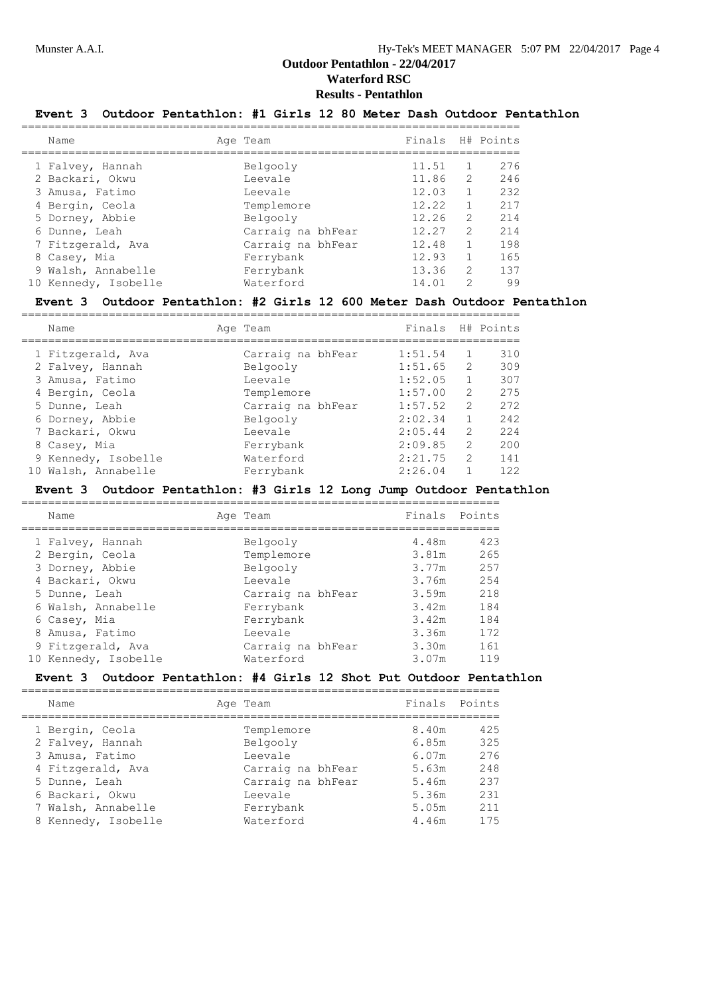# **Results - Pentathlon**

# **Event 3 Outdoor Pentathlon: #1 Girls 12 80 Meter Dash Outdoor Pentathlon**

|  | Name                 | Age Team          | Finals H# Points |               |     |
|--|----------------------|-------------------|------------------|---------------|-----|
|  | 1 Falvey, Hannah     | Belgooly          | 11.51            |               | 276 |
|  | 2 Backari, Okwu      | Leevale           | 11.86            | 2             | 246 |
|  | 3 Amusa, Fatimo      | Leevale           | 12.03            |               | 232 |
|  | 4 Bergin, Ceola      | Templemore        | 12.22            |               | 217 |
|  | 5 Dorney, Abbie      | Belgooly          | 12.26            | $\mathcal{L}$ | 214 |
|  | 6 Dunne, Leah        | Carraig na bhFear | 12.27            | $\mathcal{L}$ | 214 |
|  | 7 Fitzgerald, Ava    | Carraig na bhFear | 12.48            |               | 198 |
|  | 8 Casey, Mia         | Ferrybank         | 12.93            |               | 165 |
|  | 9 Walsh, Annabelle   | Ferrybank         | 13.36            | $\mathcal{L}$ | 137 |
|  | 10 Kennedy, Isobelle | Waterford         | 14.01            | $\mathcal{P}$ | 99  |
|  |                      |                   |                  |               |     |

#### **Event 3 Outdoor Pentathlon: #2 Girls 12 600 Meter Dash Outdoor Pentathlon**

| Name                | Age Team          | Finals H# Points |               |     |
|---------------------|-------------------|------------------|---------------|-----|
| 1 Fitzgerald, Ava   | Carraig na bhFear | 1:51.54          |               | 310 |
| 2 Falvey, Hannah    | Belgooly          | 1:51.65          | $\mathcal{L}$ | 309 |
| 3 Amusa, Fatimo     | Leevale           | 1:52.05          |               | 307 |
| 4 Bergin, Ceola     | Templemore        | 1:57.00          | 2             | 275 |
| 5 Dunne, Leah       | Carraig na bhFear | 1:57.52          | 2             | 272 |
| 6 Dorney, Abbie     | Belgooly          | 2:02.34          |               | 242 |
| 7 Backari, Okwu     | Leevale           | 2:05.44          | $\mathcal{L}$ | 224 |
| 8 Casey, Mia        | Ferrybank         | 2:09.85          | $\mathcal{L}$ | 200 |
| 9 Kennedy, Isobelle | Waterford         | 2:21.75          | $\mathcal{L}$ | 141 |
| 10 Walsh, Annabelle | Ferrybank         | 2:26.04          |               | 122 |

#### **Event 3 Outdoor Pentathlon: #3 Girls 12 Long Jump Outdoor Pentathlon**

| Name                 | Age Team          | Finals Points |      |
|----------------------|-------------------|---------------|------|
| 1 Falvey, Hannah     | Belgooly          | 4.48m         | 423  |
| 2 Bergin, Ceola      | Templemore        | 3.81m         | 265  |
| 3 Dorney, Abbie      | Belgooly          | 3.77m         | 2.57 |
| 4 Backari, Okwu      | Leevale           | 3.76m         | 254  |
| 5 Dunne, Leah        | Carraig na bhFear | 3.59m         | 218  |
| 6 Walsh, Annabelle   | Ferrybank         | 3.42m         | 184  |
| 6 Casey, Mia         | Ferrybank         | 3.42m         | 184  |
| 8 Amusa, Fatimo      | Leevale           | 3.36m         | 172  |
| 9 Fitzgerald, Ava    | Carraig na bhFear | 3.30m         | 161  |
| 10 Kennedy, Isobelle | Waterford         | 3.07m         | 119  |

=======================================================================

# **Event 3 Outdoor Pentathlon: #4 Girls 12 Shot Put Outdoor Pentathlon**

| Name                | Age Team          | Finals Points |     |
|---------------------|-------------------|---------------|-----|
| 1 Bergin, Ceola     | Templemore        | 8.40m         | 425 |
| 2 Falvey, Hannah    | Belgooly          | 6.85m         | 325 |
| 3 Amusa, Fatimo     | Leevale           | 6.07m         | 276 |
| 4 Fitzgerald, Ava   | Carraig na bhFear | 5.63m         | 248 |
| 5 Dunne, Leah       | Carraig na bhFear | 5.46m         | 237 |
| 6 Backari, Okwu     | Leevale           | 5.36m         | 231 |
| 7 Walsh, Annabelle  | Ferrybank         | 5.05m         | 211 |
| 8 Kennedy, Isobelle | Waterford         | 4.46m         | 175 |
|                     |                   |               |     |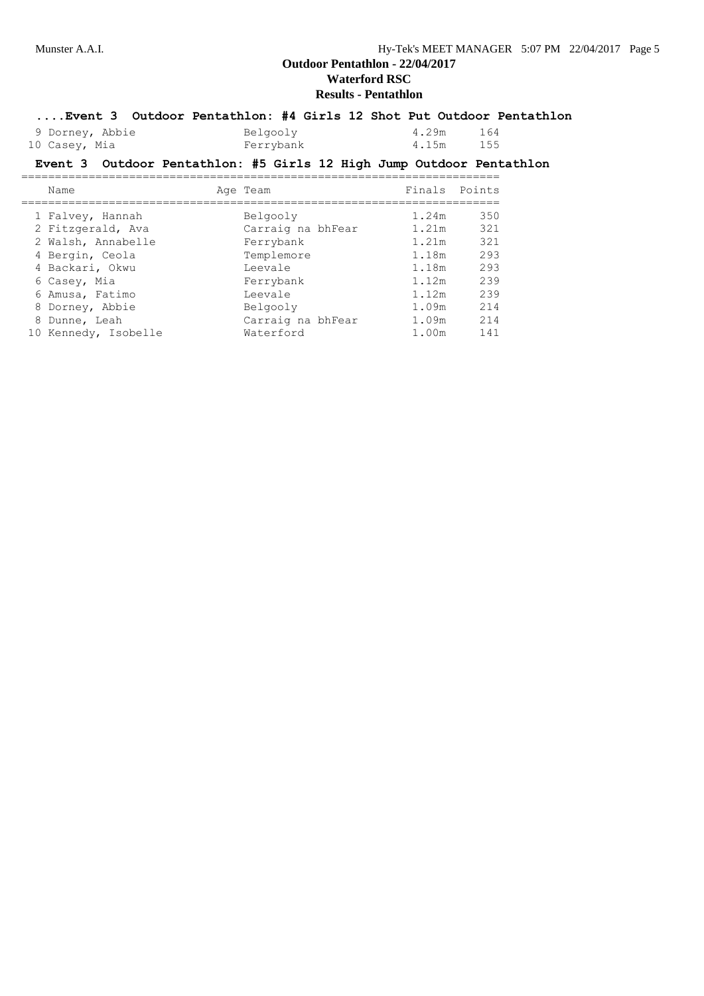# **Results - Pentathlon**

### **....Event 3 Outdoor Pentathlon: #4 Girls 12 Shot Put Outdoor Pentathlon**

| 9 Dorney, Abbie | Belgooly  | 4.29m | 164 |
|-----------------|-----------|-------|-----|
| 10 Casey, Mia   | Ferrybank | 4.15m | 155 |

## **Event 3 Outdoor Pentathlon: #5 Girls 12 High Jump Outdoor Pentathlon**

| Name                 | Age Team          | Finals Points |     |
|----------------------|-------------------|---------------|-----|
| 1 Falvey, Hannah     | Belgooly          | 1.24m         | 350 |
| 2 Fitzgerald, Ava    | Carraig na bhFear | 1.21m         | 321 |
| 2 Walsh, Annabelle   | Ferrybank         | 1.21m         | 321 |
| 4 Bergin, Ceola      | Templemore        | 1.18m         | 293 |
| 4 Backari, Okwu      | Leevale           | 1.18m         | 293 |
| 6 Casey, Mia         | Ferrybank         | 1.12m         | 239 |
| 6 Amusa, Fatimo      | Leevale           | 1.12m         | 239 |
| 8 Dorney, Abbie      | Belgooly          | 1.09m         | 214 |
| 8 Dunne, Leah        | Carraig na bhFear | 1.09m         | 214 |
| 10 Kennedy, Isobelle | Waterford         | 1.00m         | 141 |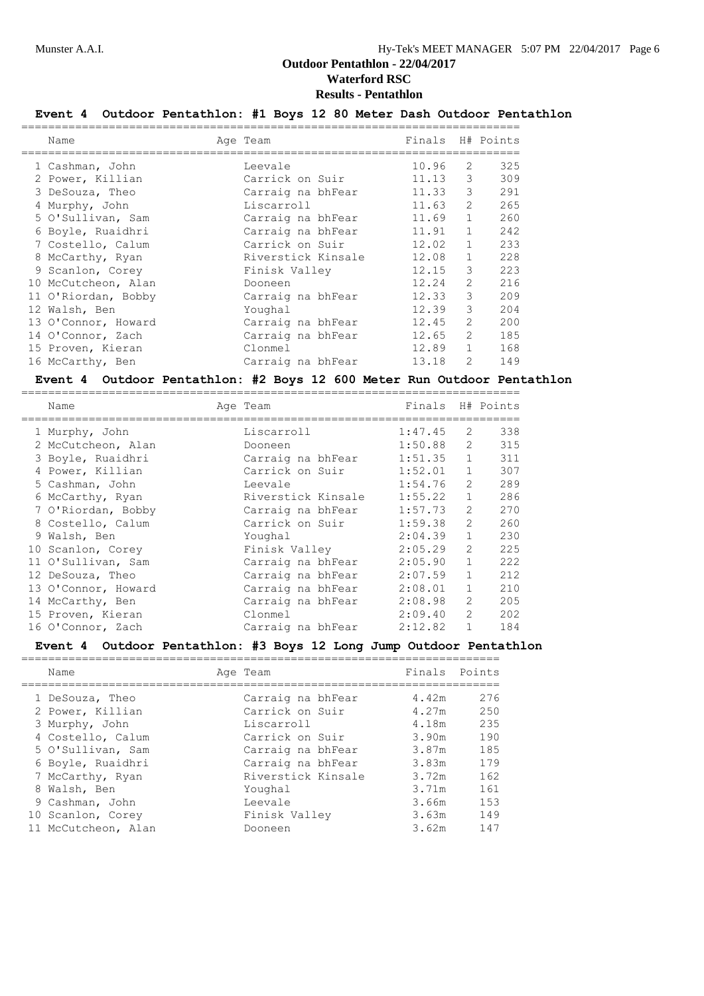# **Results - Pentathlon**

# **Event 4 Outdoor Pentathlon: #1 Boys 12 80 Meter Dash Outdoor Pentathlon**

| Name |                                                                                                                                                                                                                                                                                                                                     |                 |          |                                                                                                                                                                       |                                                                                                                                                                                                                                                                                                                                                      |
|------|-------------------------------------------------------------------------------------------------------------------------------------------------------------------------------------------------------------------------------------------------------------------------------------------------------------------------------------|-----------------|----------|-----------------------------------------------------------------------------------------------------------------------------------------------------------------------|------------------------------------------------------------------------------------------------------------------------------------------------------------------------------------------------------------------------------------------------------------------------------------------------------------------------------------------------------|
|      |                                                                                                                                                                                                                                                                                                                                     | Leevale         |          |                                                                                                                                                                       | 325                                                                                                                                                                                                                                                                                                                                                  |
|      |                                                                                                                                                                                                                                                                                                                                     | Carrick on Suir |          |                                                                                                                                                                       | 309                                                                                                                                                                                                                                                                                                                                                  |
|      |                                                                                                                                                                                                                                                                                                                                     |                 |          |                                                                                                                                                                       | 291                                                                                                                                                                                                                                                                                                                                                  |
|      |                                                                                                                                                                                                                                                                                                                                     | Liscarroll      |          |                                                                                                                                                                       | 265                                                                                                                                                                                                                                                                                                                                                  |
|      |                                                                                                                                                                                                                                                                                                                                     |                 |          |                                                                                                                                                                       | 260                                                                                                                                                                                                                                                                                                                                                  |
|      |                                                                                                                                                                                                                                                                                                                                     |                 |          |                                                                                                                                                                       | 242                                                                                                                                                                                                                                                                                                                                                  |
|      |                                                                                                                                                                                                                                                                                                                                     | Carrick on Suir |          |                                                                                                                                                                       | 233                                                                                                                                                                                                                                                                                                                                                  |
|      |                                                                                                                                                                                                                                                                                                                                     |                 |          |                                                                                                                                                                       | 228                                                                                                                                                                                                                                                                                                                                                  |
|      |                                                                                                                                                                                                                                                                                                                                     | Finisk Valley   |          |                                                                                                                                                                       | 223                                                                                                                                                                                                                                                                                                                                                  |
|      |                                                                                                                                                                                                                                                                                                                                     | Dooneen         |          |                                                                                                                                                                       | 216                                                                                                                                                                                                                                                                                                                                                  |
|      |                                                                                                                                                                                                                                                                                                                                     |                 |          |                                                                                                                                                                       | 209                                                                                                                                                                                                                                                                                                                                                  |
|      |                                                                                                                                                                                                                                                                                                                                     | Youghal         |          |                                                                                                                                                                       | 204                                                                                                                                                                                                                                                                                                                                                  |
|      |                                                                                                                                                                                                                                                                                                                                     |                 |          |                                                                                                                                                                       | 200                                                                                                                                                                                                                                                                                                                                                  |
|      |                                                                                                                                                                                                                                                                                                                                     |                 |          |                                                                                                                                                                       | 185                                                                                                                                                                                                                                                                                                                                                  |
|      |                                                                                                                                                                                                                                                                                                                                     | Clonmel         |          |                                                                                                                                                                       | 168                                                                                                                                                                                                                                                                                                                                                  |
|      |                                                                                                                                                                                                                                                                                                                                     |                 |          | $\mathcal{L}$                                                                                                                                                         | 149                                                                                                                                                                                                                                                                                                                                                  |
|      | 1 Cashman, John<br>2 Power, Killian<br>3 DeSouza, Theo<br>4 Murphy, John<br>5 O'Sullivan, Sam<br>6 Boyle, Ruaidhri<br>7 Costello, Calum<br>8 McCarthy, Ryan<br>9 Scanlon, Corey<br>10 McCutcheon, Alan<br>11 O'Riordan, Bobby<br>12 Walsh, Ben<br>13 O'Connor, Howard<br>14 O'Connor, Zach<br>15 Proven, Kieran<br>16 McCarthy, Ben |                 | Age Team | Carraig na bhFear<br>Carraig na bhFear<br>Carraig na bhFear<br>Riverstick Kinsale<br>Carraig na bhFear<br>Carraig na bhFear<br>Carraig na bhFear<br>Carraig na bhFear | Finals H# Points<br>10.96<br>2<br>3<br>11.13<br>3<br>11.33<br>$\overline{2}$<br>11.63<br>$\mathbf{1}$<br>11.69<br>$\mathbf{1}$<br>11.91<br>$\mathbf{1}$<br>12.02<br>$\mathbf{1}$<br>12.08<br>3<br>12.15<br>$\overline{2}$<br>12.24<br>3<br>12.33<br>3<br>12.39<br>$\mathcal{L}$<br>12.45<br>$\mathcal{L}$<br>12.65<br>$\mathbf{1}$<br>12.89<br>13.18 |

#### **Event 4 Outdoor Pentathlon: #2 Boys 12 600 Meter Run Outdoor Pentathlon**

| Name                | Age Team           | Finals H# Points |                |     |
|---------------------|--------------------|------------------|----------------|-----|
| 1 Murphy, John      | Liscarroll         | 1:47.45          | 2              | 338 |
| 2 McCutcheon, Alan  | Dooneen            | 1:50.88          | $2^{\circ}$    | 315 |
| 3 Boyle, Ruaidhri   | Carraig na bhFear  | 1:51.35          | $\mathbf{1}$   | 311 |
| 4 Power, Killian    | Carrick on Suir    | 1:52.01          | $\mathbf{1}$   | 307 |
| 5 Cashman, John     | Leevale            | 1:54.76          | $\overline{2}$ | 289 |
| 6 McCarthy, Ryan    | Riverstick Kinsale | 1:55.22          | $\mathbf{1}$   | 286 |
| 7 O'Riordan, Bobby  | Carraig na bhFear  | 1:57.73          | $\overline{2}$ | 270 |
| 8 Costello, Calum   | Carrick on Suir    | 1:59.38          | $\mathcal{L}$  | 260 |
| 9 Walsh, Ben        | Youghal            | 2:04.39          | $\mathbf{1}$   | 230 |
| 10 Scanlon, Corey   | Finisk Valley      | 2:05.29          | $\overline{2}$ | 225 |
| 11 O'Sullivan, Sam  | Carraig na bhFear  | 2:05.90          | $\mathbf{1}$   | 222 |
| 12 DeSouza, Theo    | Carraig na bhFear  | 2:07.59          | $\mathbf{1}$   | 212 |
| 13 O'Connor, Howard | Carraig na bhFear  | 2:08.01          | $\mathbf{1}$   | 210 |
| 14 McCarthy, Ben    | Carraig na bhFear  | 2:08.98          | $\overline{2}$ | 205 |
| 15 Proven, Kieran   | Clonmel            | 2:09.40          | $\overline{2}$ | 202 |
| 16 O'Connor, Zach   | Carraig na bhFear  | 2:12.82          | $\mathbf{1}$   | 184 |
|                     |                    |                  |                |     |

## **Event 4 Outdoor Pentathlon: #3 Boys 12 Long Jump Outdoor Pentathlon**

| Name                | Age Team           | Finals Points |     |
|---------------------|--------------------|---------------|-----|
|                     |                    |               |     |
| 1 DeSouza, Theo     | Carraig na bhFear  | 4.42m         | 276 |
| 2 Power, Killian    | Carrick on Suir    | 4.27m         | 250 |
| 3 Murphy, John      | Liscarroll         | 4.18m         | 235 |
| 4 Costello, Calum   | Carrick on Suir    | 3.90m         | 190 |
| 5 O'Sullivan, Sam   | Carraig na bhFear  | 3.87m         | 185 |
| 6 Boyle, Ruaidhri   | Carraig na bhFear  | 3.83m         | 179 |
| 7 McCarthy, Ryan    | Riverstick Kinsale | 3.72m         | 162 |
| 8 Walsh, Ben        | Youghal            | 3.71m         | 161 |
| 9 Cashman, John     | Leevale            | 3.66m         | 153 |
| 10 Scanlon, Corey   | Finisk Valley      | 3.63m         | 149 |
| 11 McCutcheon, Alan | Dooneen            | 3.62m         | 147 |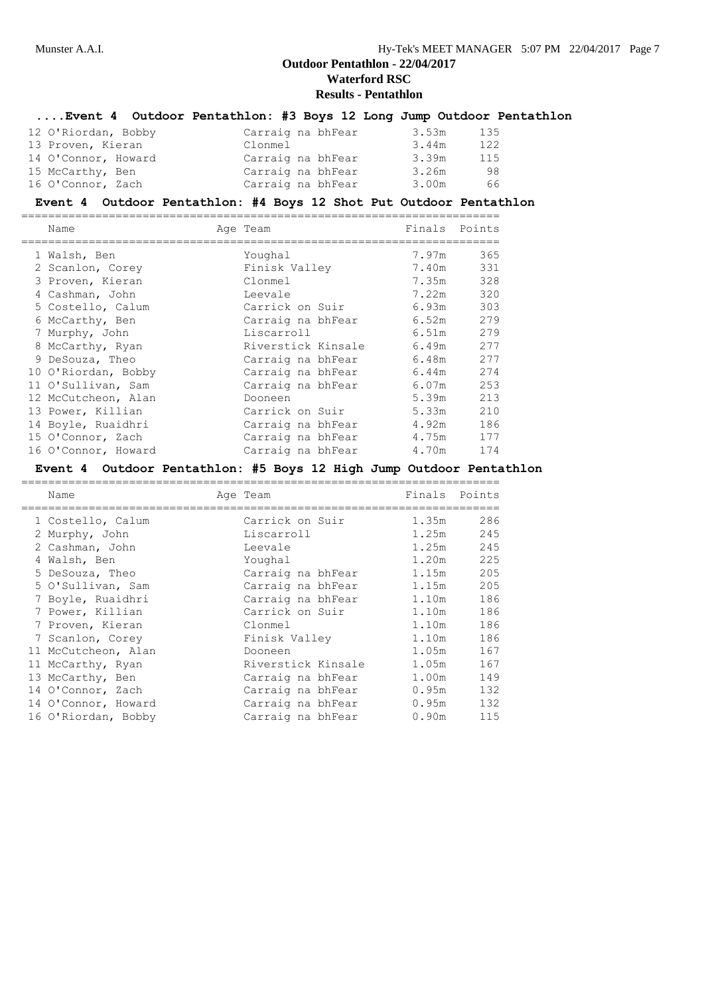# **....Event 4 Outdoor Pentathlon: #3 Boys 12 Long Jump Outdoor Pentathlon**

| 12 O'Riordan, Bobby | Carraig na bhFear | 3.53m | 135 |
|---------------------|-------------------|-------|-----|
| 13 Proven, Kieran   | Clonmel           | 3.44m | 122 |
| 14 O'Connor, Howard | Carraig na bhFear | 3.39m | 115 |
| 15 McCarthy, Ben    | Carraig na bhFear | 3.26m | 98  |
| 16 O'Connor, Zach   | Carraig na bhFear | 3.00m | 66  |

#### **Event 4 Outdoor Pentathlon: #4 Boys 12 Shot Put Outdoor Pentathlon**

| Name                | Age Team           | Finals Points |     |
|---------------------|--------------------|---------------|-----|
| 1 Walsh, Ben        | Youghal            | 7.97m         | 365 |
| 2 Scanlon, Corey    | Finisk Valley      | 7.40m         | 331 |
| 3 Proven, Kieran    | Clonmel            | 7.35m         | 328 |
| 4 Cashman, John     | Leevale            | 7.22m         | 320 |
| 5 Costello, Calum   | Carrick on Suir    | 6.93m         | 303 |
| 6 McCarthy, Ben     | Carraig na bhFear  | 6.52m         | 279 |
| 7 Murphy, John      | Liscarroll         | 6.51m         | 279 |
| 8 McCarthy, Ryan    | Riverstick Kinsale | 6.49m         | 277 |
| 9 DeSouza, Theo     | Carraig na bhFear  | 6.48m         | 277 |
| 10 O'Riordan, Bobby | Carraig na bhFear  | 6.44m         | 274 |
| 11 O'Sullivan, Sam  | Carraig na bhFear  | 6.07m         | 253 |
| 12 McCutcheon, Alan | Dooneen            | 5.39m         | 213 |
| 13 Power, Killian   | Carrick on Suir    | 5.33m         | 210 |
| 14 Boyle, Ruaidhri  | Carraig na bhFear  | 4.92m         | 186 |
| 15 O'Connor, Zach   | Carraig na bhFear  | 4.75m         | 177 |
| 16 O'Connor, Howard | Carraig na bhFear  | 4.70m         | 174 |

## **Event 4 Outdoor Pentathlon: #5 Boys 12 High Jump Outdoor Pentathlon**

| Name |                                                                                                                                                                                                                                                                                                                                    |                    | Finals Points     |     |
|------|------------------------------------------------------------------------------------------------------------------------------------------------------------------------------------------------------------------------------------------------------------------------------------------------------------------------------------|--------------------|-------------------|-----|
|      |                                                                                                                                                                                                                                                                                                                                    | Carrick on Suir    | 1.35m             | 286 |
|      |                                                                                                                                                                                                                                                                                                                                    | Liscarroll         | 1.25m             | 245 |
|      |                                                                                                                                                                                                                                                                                                                                    | Leevale            | 1.25m             | 245 |
|      |                                                                                                                                                                                                                                                                                                                                    | Youghal            | 1.20m             | 225 |
|      |                                                                                                                                                                                                                                                                                                                                    | Carraig na bhFear  | 1.15m             | 205 |
|      |                                                                                                                                                                                                                                                                                                                                    | Carraig na bhFear  | 1.15m             | 205 |
|      |                                                                                                                                                                                                                                                                                                                                    | Carraig na bhFear  | 1.10m             | 186 |
|      |                                                                                                                                                                                                                                                                                                                                    | Carrick on Suir    | 1.10m             | 186 |
|      |                                                                                                                                                                                                                                                                                                                                    | Clonmel            | 1.10m             | 186 |
|      |                                                                                                                                                                                                                                                                                                                                    | Finisk Valley      | 1.10m             | 186 |
|      |                                                                                                                                                                                                                                                                                                                                    | Dooneen            | 1.05m             | 167 |
|      |                                                                                                                                                                                                                                                                                                                                    | Riverstick Kinsale | 1.05m             | 167 |
|      |                                                                                                                                                                                                                                                                                                                                    | Carraig na bhFear  | 1.00m             | 149 |
|      |                                                                                                                                                                                                                                                                                                                                    | Carraig na bhFear  | 0.95m             | 132 |
|      |                                                                                                                                                                                                                                                                                                                                    | Carraig na bhFear  | 0.95m             | 132 |
|      |                                                                                                                                                                                                                                                                                                                                    | Carraig na bhFear  | 0.90 <sub>m</sub> | 115 |
|      | 1 Costello, Calum<br>2 Murphy, John<br>2 Cashman, John<br>4 Walsh, Ben<br>5 DeSouza, Theo<br>5 O'Sullivan, Sam<br>7 Boyle, Ruaidhri<br>7 Power, Killian<br>7 Proven, Kieran<br>7 Scanlon, Corey<br>11 McCutcheon, Alan<br>11 McCarthy, Ryan<br>13 McCarthy, Ben<br>14 O'Connor, Zach<br>14 O'Connor, Howard<br>16 O'Riordan, Bobby |                    | Age Team          |     |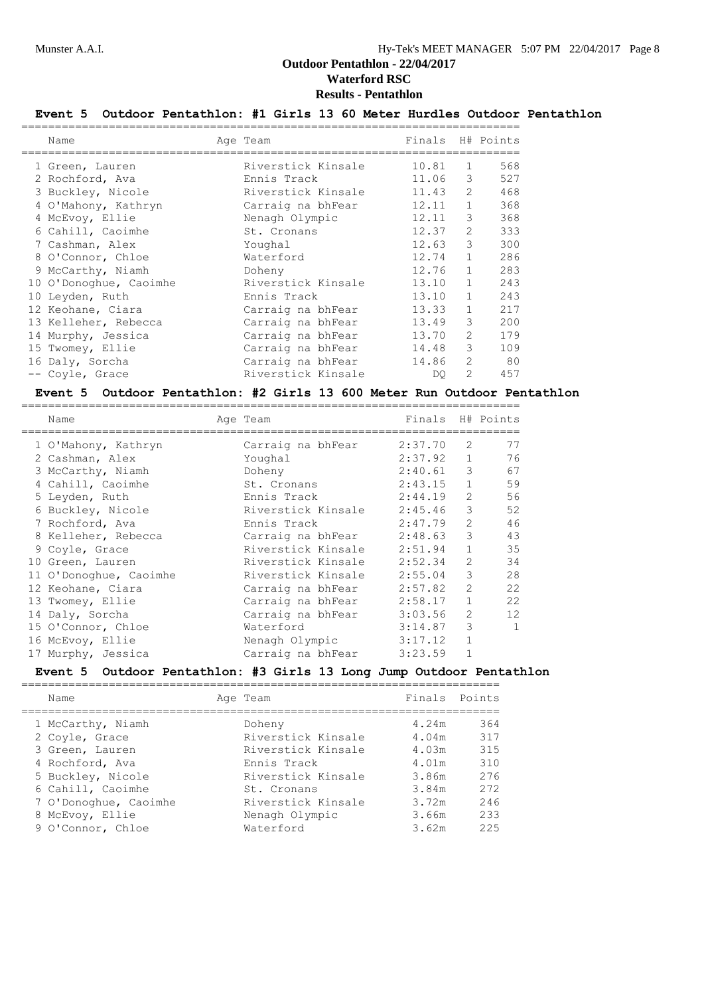# **Event 5 Outdoor Pentathlon: #1 Girls 13 60 Meter Hurdles Outdoor Pentathlon**

| Name                   | Age Team           | Finals |                | H# Points |
|------------------------|--------------------|--------|----------------|-----------|
| 1 Green, Lauren        | Riverstick Kinsale | 10.81  | 1              | 568       |
| 2 Rochford, Ava        | Ennis Track        | 11.06  | 3              | 527       |
| 3 Buckley, Nicole      | Riverstick Kinsale | 11.43  | $\overline{2}$ | 468       |
| 4 O'Mahony, Kathryn    | Carraig na bhFear  | 12.11  | $\mathbf{1}$   | 368       |
| 4 McEvoy, Ellie        | Nenagh Olympic     | 12.11  | 3              | 368       |
| 6 Cahill, Caoimhe      | St. Cronans        | 12.37  | 2              | 333       |
| 7 Cashman, Alex        | Youghal            | 12.63  | 3              | 300       |
| 8 O'Connor, Chloe      | Waterford          | 12.74  | $\mathbf{1}$   | 286       |
| 9 McCarthy, Niamh      | Doheny             | 12.76  | $\mathbf{1}$   | 283       |
| 10 O'Donoghue, Caoimhe | Riverstick Kinsale | 13.10  | $\mathbf{1}$   | 243       |
| 10 Leyden, Ruth        | Ennis Track        | 13.10  | $\mathbf{1}$   | 243       |
| 12 Keohane, Ciara      | Carraig na bhFear  | 13.33  | $\mathbf{1}$   | 217       |
| 13 Kelleher, Rebecca   | Carraig na bhFear  | 13.49  | 3              | 200       |
| 14 Murphy, Jessica     | Carraig na bhFear  | 13.70  | 2              | 179       |
| 15 Twomey, Ellie       | Carraig na bhFear  | 14.48  | 3              | 109       |
| 16 Daly, Sorcha        | Carraig na bhFear  | 14.86  | 2              | 80        |
| -- Coyle, Grace        | Riverstick Kinsale | DO.    | $\mathcal{L}$  | 457       |

#### **Event 5 Outdoor Pentathlon: #2 Girls 13 600 Meter Run Outdoor Pentathlon**

| Name                   | Age Team           | Finals H# Points |                |              |
|------------------------|--------------------|------------------|----------------|--------------|
| 1 O'Mahony, Kathryn    | Carraig na bhFear  | 2:37.70          | 2              | 77           |
| 2 Cashman, Alex        | Youghal            | 2:37.92          | $\mathbf{1}$   | 76           |
| 3 McCarthy, Niamh      | Doheny             | 2:40.61          | 3              | 67           |
| 4 Cahill, Caoimhe      | St. Cronans        | 2:43.15          |                | 59           |
| 5 Leyden, Ruth         | Ennis Track        | 2:44.19          | $\overline{2}$ | 56           |
| 6 Buckley, Nicole      | Riverstick Kinsale | 2:45.46          | 3              | 52           |
| 7 Rochford, Ava        | Ennis Track        | 2:47.79          | $\overline{2}$ | 46           |
| 8 Kelleher, Rebecca    | Carraig na bhFear  | 2:48.63          | 3              | 43           |
| 9 Coyle, Grace         | Riverstick Kinsale | 2:51.94          | $\mathbf{1}$   | 35           |
| 10 Green, Lauren       | Riverstick Kinsale | 2:52.34          | 2              | 34           |
| 11 O'Donoghue, Caoimhe | Riverstick Kinsale | 2:55.04          | 3              | 28           |
| 12 Keohane, Ciara      | Carraig na bhFear  | 2:57.82          | $\mathcal{L}$  | 22           |
| 13 Twomey, Ellie       | Carraig na bhFear  | 2:58.17          | $\mathbf{1}$   | 22           |
| 14 Daly, Sorcha        | Carraig na bhFear  | 3:03.56          | $\overline{2}$ | 12           |
| 15 O'Connor, Chloe     | Waterford          | 3:14.87          | 3              | $\mathbf{1}$ |
| 16 McEvoy, Ellie       | Nenagh Olympic     | 3:17.12          | $\mathbf{1}$   |              |
| 17 Murphy, Jessica     | Carraig na bhFear  | 3:23.59          |                |              |

## **Event 5 Outdoor Pentathlon: #3 Girls 13 Long Jump Outdoor Pentathlon**

| Name                  | Age Team           | Finals Points |     |
|-----------------------|--------------------|---------------|-----|
| 1 McCarthy, Niamh     | Doheny             | 4.24m         | 364 |
| 2 Coyle, Grace        | Riverstick Kinsale | 4.04m         | 317 |
| 3 Green, Lauren       | Riverstick Kinsale | 4.03m         | 315 |
| 4 Rochford, Ava       | Ennis Track        | 4.01m         | 310 |
| 5 Buckley, Nicole     | Riverstick Kinsale | 3.86m         | 276 |
| 6 Cahill, Caoimhe     | St. Cronans        | 3.84m         | 272 |
| 7 O'Donoghue, Caoimhe | Riverstick Kinsale | 3.72m         | 246 |
| 8 McEvoy, Ellie       | Nenagh Olympic     | 3.66m         | 233 |
| 9 O'Connor, Chloe     | Waterford          | 3.62m         | 225 |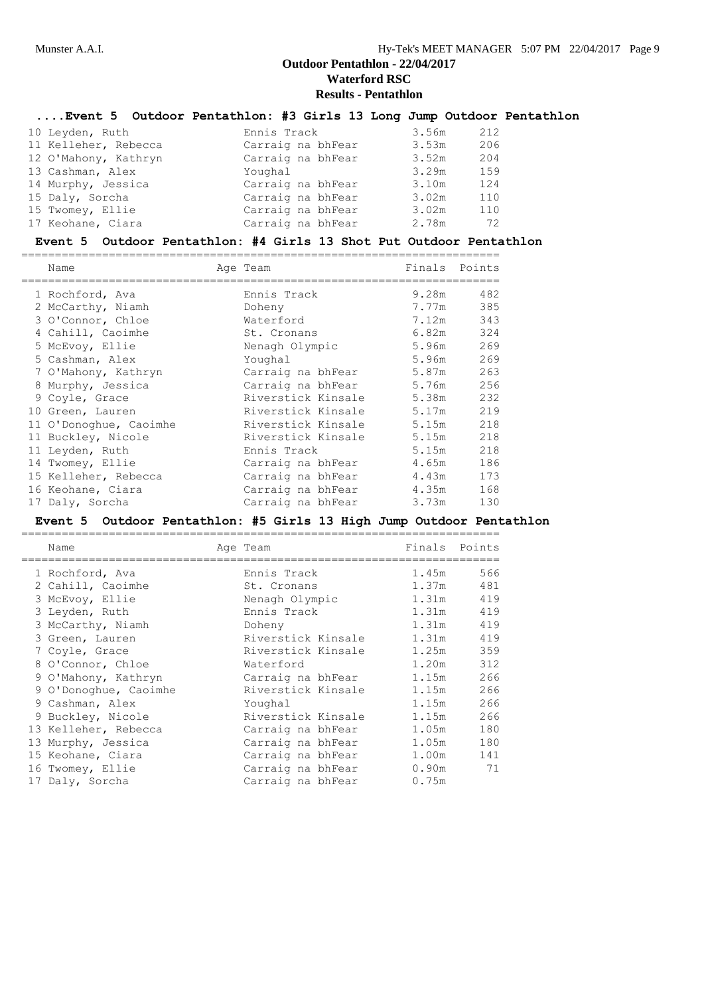|                      | Event 5 Outdoor Pentathlon: #3 Girls 13 Long Jump Outdoor Pentathlon |       |     |
|----------------------|----------------------------------------------------------------------|-------|-----|
| 10 Leyden, Ruth      | Ennis Track                                                          | 3.56m | 212 |
| 11 Kelleher, Rebecca | Carraig na bhFear                                                    | 3.53m | 206 |
| 12 O'Mahony, Kathryn | Carraig na bhFear                                                    | 3.52m | 204 |
| 13 Cashman, Alex     | Youghal                                                              | 3.29m | 159 |
| 14 Murphy, Jessica   | Carraig na bhFear                                                    | 3.10m | 124 |
| 15 Daly, Sorcha      | Carraig na bhFear                                                    | 3.02m | 110 |
| 15 Twomey, Ellie     | Carraig na bhFear                                                    | 3.02m | 110 |
| 17 Keohane, Ciara    | Carraig na bhFear                                                    | 2.78m | 72  |

#### **Event 5 Outdoor Pentathlon: #4 Girls 13 Shot Put Outdoor Pentathlon**

| Name                   | Age Team           | Finals | Points    |
|------------------------|--------------------|--------|-----------|
| 1 Rochford, Ava        | Ennis Track        | 9.28m  | 482       |
| 2 McCarthy, Niamh      | Doheny             | 7.77m  | 385       |
| 3 O'Connor, Chloe      | Waterford          | 7.12m  | 343       |
| 4 Cahill, Caoimhe      | St. Cronans        |        | 6.82m 324 |
| 5 McEvoy, Ellie        | Nenagh Olympic     | 5.96m  | 269       |
| 5 Cashman, Alex        | Youghal            | 5.96m  | 269       |
| 7 O'Mahony, Kathryn    | Carraig na bhFear  | 5.87m  | 263       |
| 8 Murphy, Jessica      | Carraig na bhFear  | 5.76m  | 256       |
| 9 Coyle, Grace         | Riverstick Kinsale | 5.38m  | 232       |
| 10 Green, Lauren       | Riverstick Kinsale | 5.17m  | 219       |
| 11 O'Donoghue, Caoimhe | Riverstick Kinsale | 5.15m  | 218       |
| 11 Buckley, Nicole     | Riverstick Kinsale | 5.15m  | 218       |
| 11 Leyden, Ruth        | Ennis Track        | 5.15m  | 218       |
| 14 Twomey, Ellie       | Carraig na bhFear  | 4.65m  | 186       |
| 15 Kelleher, Rebecca   | Carraig na bhFear  | 4.43m  | 173       |
| 16 Keohane, Ciara      | Carraig na bhFear  | 4.35m  | 168       |
| 17 Daly, Sorcha        | Carraig na bhFear  | 3.73m  | 130       |

=======================================================================

#### **Event 5 Outdoor Pentathlon: #5 Girls 13 High Jump Outdoor Pentathlon**

| Name                  | Age Team           | Finals | Points |
|-----------------------|--------------------|--------|--------|
| 1 Rochford, Ava       | Ennis Track        | 1.45m  | 566    |
| 2 Cahill, Caoimhe     | St. Cronans        | 1.37m  | 481    |
| 3 McEvoy, Ellie       | Nenagh Olympic     | 1.31m  | 419    |
| 3 Leyden, Ruth        | Ennis Track        | 1.31m  | 419    |
| 3 McCarthy, Niamh     | Doheny             | 1.31m  | 419    |
| 3 Green, Lauren       | Riverstick Kinsale | 1.31m  | 419    |
| 7 Coyle, Grace        | Riverstick Kinsale | 1.25m  | 359    |
| 8 O'Connor, Chloe     | Waterford          | 1.20m  | 312    |
| 9 O'Mahony, Kathryn   | Carraig na bhFear  | 1.15m  | 266    |
| 9 O'Donoghue, Caoimhe | Riverstick Kinsale | 1.15m  | 266    |
| 9 Cashman, Alex       | Youghal            | 1.15m  | 266    |
| 9 Buckley, Nicole     | Riverstick Kinsale | 1.15m  | 266    |
| 13 Kelleher, Rebecca  | Carraig na bhFear  | 1.05m  | 180    |
| 13 Murphy, Jessica    | Carraig na bhFear  | 1.05m  | 180    |
| 15 Keohane, Ciara     | Carraig na bhFear  | 1.00m  | 141    |
| 16 Twomey, Ellie      | Carraig na bhFear  | 0.90m  | 71     |
| 17 Daly, Sorcha       | Carraig na bhFear  | 0.75m  |        |

=======================================================================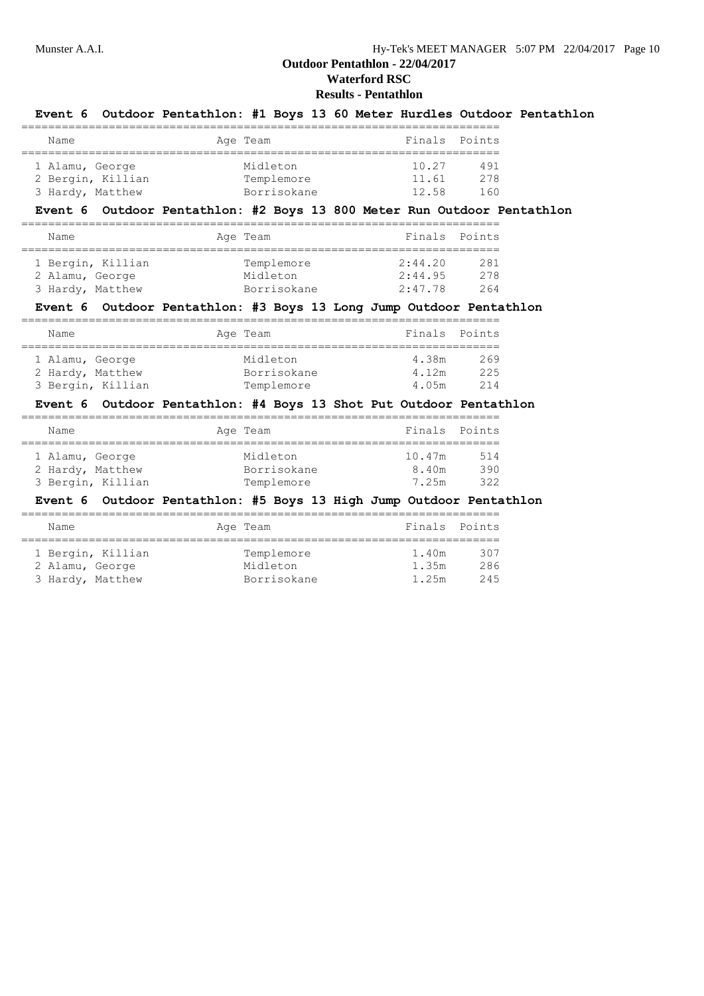# **Results - Pentathlon**

|                                                          |                      | Event 6 Outdoor Pentathlon: #1 Boys 13 60 Meter Hurdles Outdoor Pentathlon<br>=============================== |  |                               |                   |  |
|----------------------------------------------------------|----------------------|---------------------------------------------------------------------------------------------------------------|--|-------------------------------|-------------------|--|
| Name                                                     |                      | Age Team                                                                                                      |  | Finals Points                 |                   |  |
| 1 Alamu, George<br>2 Bergin, Killian<br>3 Hardy, Matthew |                      | Midleton<br>Templemore 11.61<br>Borrisokane                                                                   |  | 10.27<br>12.58                | 491<br>278<br>160 |  |
|                                                          |                      | Event 6 Outdoor Pentathlon: #2 Boys 13 800 Meter Run Outdoor Pentathlon                                       |  |                               |                   |  |
| Name                                                     |                      | Age Team                                                                                                      |  | Finals Points                 |                   |  |
| 1 Bergin, Killian<br>2 Alamu, George<br>3 Hardy, Matthew |                      | Templemore<br>Midleton<br>Borrisokane                                                                         |  | 2:44.20<br>2:44.95<br>2:47.78 | 281<br>278<br>264 |  |
|                                                          |                      | Event 6 Outdoor Pentathlon: #3 Boys 13 Long Jump Outdoor Pentathlon                                           |  |                               |                   |  |
| Name                                                     |                      | Age Team                                                                                                      |  | Finals                        | Points            |  |
| 1 Alamu, George<br>2 Hardy, Matthew<br>3 Bergin, Killian |                      | Midleton<br>Borrisokane<br>Templemore                                                                         |  | 4.38m<br>4.12m<br>4.05m       | 269<br>225<br>214 |  |
|                                                          |                      | Event 6 Outdoor Pentathlon: #4 Boys 13 Shot Put Outdoor Pentathlon                                            |  |                               |                   |  |
| Name                                                     |                      | Age Team                                                                                                      |  | Finals Points                 |                   |  |
| 1 Alamu, George<br>2 Hardy, Matthew<br>3 Bergin, Killian |                      | Midleton<br>Borrisokane<br>Templemore                                                                         |  | 10.47m<br>8.40m<br>7.25m      | 514<br>390<br>322 |  |
|                                                          |                      | Event 6 Outdoor Pentathlon: #5 Boys 13 High Jump Outdoor Pentathlon                                           |  |                               |                   |  |
| Name                                                     | -------------------- | Age Team                                                                                                      |  | Finals Points                 |                   |  |
| 1 Bergin, Killian<br>2 Alamu, George                     |                      | Templemore<br>Midleton                                                                                        |  | 1.40m<br>1.35m                | 307<br>286        |  |

3 Hardy, Matthew Borrisokane 1.25m 245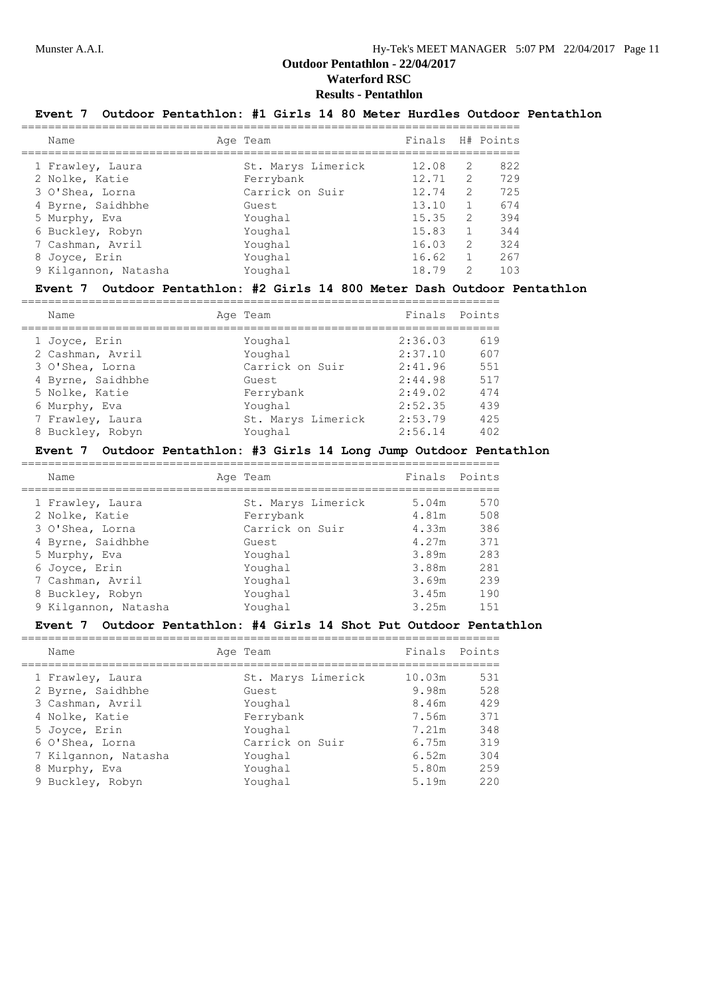# **Results - Pentathlon**

# **Event 7 Outdoor Pentathlon: #1 Girls 14 80 Meter Hurdles Outdoor Pentathlon**

| Name                 | Age Team           | Finals |               | H# Points |
|----------------------|--------------------|--------|---------------|-----------|
| 1 Frawley, Laura     | St. Marys Limerick | 12.08  | $\mathcal{L}$ | 822       |
| 2 Nolke, Katie       | Ferrybank          | 12.71  | $\mathcal{L}$ | 729       |
| 3 O'Shea, Lorna      | Carrick on Suir    | 12.74  | $\mathcal{L}$ | 725       |
| 4 Byrne, Saidhbhe    | Guest              | 13.10  |               | 674       |
| 5 Murphy, Eva        | Youghal            | 15.35  | 2             | 394       |
| 6 Buckley, Robyn     | Youghal            | 15.83  | 1.            | 344       |
| 7 Cashman, Avril     | Youghal            | 16.03  | 2             | 324       |
| 8 Joyce, Erin        | Youghal            | 16.62  | 1.            | 267       |
| 9 Kilgannon, Natasha | Youghal            | 18.79  | $\mathcal{L}$ | 103       |
|                      |                    |        |               |           |

#### **Event 7 Outdoor Pentathlon: #2 Girls 14 800 Meter Dash Outdoor Pentathlon**

| Name                                                                                                         | Age Team                                                               | Finals Points                                                             |                                               |
|--------------------------------------------------------------------------------------------------------------|------------------------------------------------------------------------|---------------------------------------------------------------------------|-----------------------------------------------|
| 1 Joyce, Erin<br>2 Cashman, Avril<br>3 O'Shea, Lorna<br>4 Byrne, Saidhbhe<br>5 Nolke, Katie<br>6 Murphy, Eva | Youghal<br>Youghal<br>Carrick on Suir<br>Guest<br>Ferrybank<br>Youghal | 2:36.03<br>2:37.10<br>2:41.96<br>2:44.98<br>2:49.02<br>2:52.35<br>2:53.79 | 619<br>607<br>551<br>517<br>474<br>439<br>425 |
| 7 Frawley, Laura<br>8 Buckley, Robyn                                                                         | St. Marys Limerick<br>Youghal                                          | 2:56.14                                                                   | 402                                           |

#### **Event 7 Outdoor Pentathlon: #3 Girls 14 Long Jump Outdoor Pentathlon**

| Name                 | Age Team           | Finals Points |     |
|----------------------|--------------------|---------------|-----|
|                      |                    |               |     |
| 1 Frawley, Laura     | St. Marys Limerick | 5.04m         | 570 |
| 2 Nolke, Katie       | Ferrybank          | 4.81m         | 508 |
| 3 O'Shea, Lorna      | Carrick on Suir    | 4.33m         | 386 |
| 4 Byrne, Saidhbhe    | Guest              | 4.27m         | 371 |
| 5 Murphy, Eva        | Youghal            | 3.89m         | 283 |
| 6 Joyce, Erin        | Youghal            | 3.88m         | 281 |
| 7 Cashman, Avril     | Youghal            | 3.69m         | 239 |
| 8 Buckley, Robyn     | Youghal            | 3.45m         | 190 |
| 9 Kilgannon, Natasha | Youghal            | 3.25m         | 151 |

=======================================================================

#### **Event 7 Outdoor Pentathlon: #4 Girls 14 Shot Put Outdoor Pentathlon**

| Name                 | Age Team           | Finals Points |     |
|----------------------|--------------------|---------------|-----|
|                      |                    |               |     |
| 1 Frawley, Laura     | St. Marys Limerick | 10.03m        | 531 |
| 2 Byrne, Saidhbhe    | Guest              | 9.98m         | 528 |
| 3 Cashman, Avril     | Youghal            | 8.46m         | 429 |
| 4 Nolke, Katie       | Ferrybank          | 7.56m         | 371 |
| 5 Joyce, Erin        | Youghal            | 7.21m         | 348 |
| 6 O'Shea, Lorna      | Carrick on Suir    | 6.75m         | 319 |
| 7 Kilgannon, Natasha | Youghal            | 6.52m         | 304 |
| 8 Murphy, Eva        | Youghal            | 5.80m         | 259 |
| 9 Buckley, Robyn     | Youghal            | 5.19m         | 220 |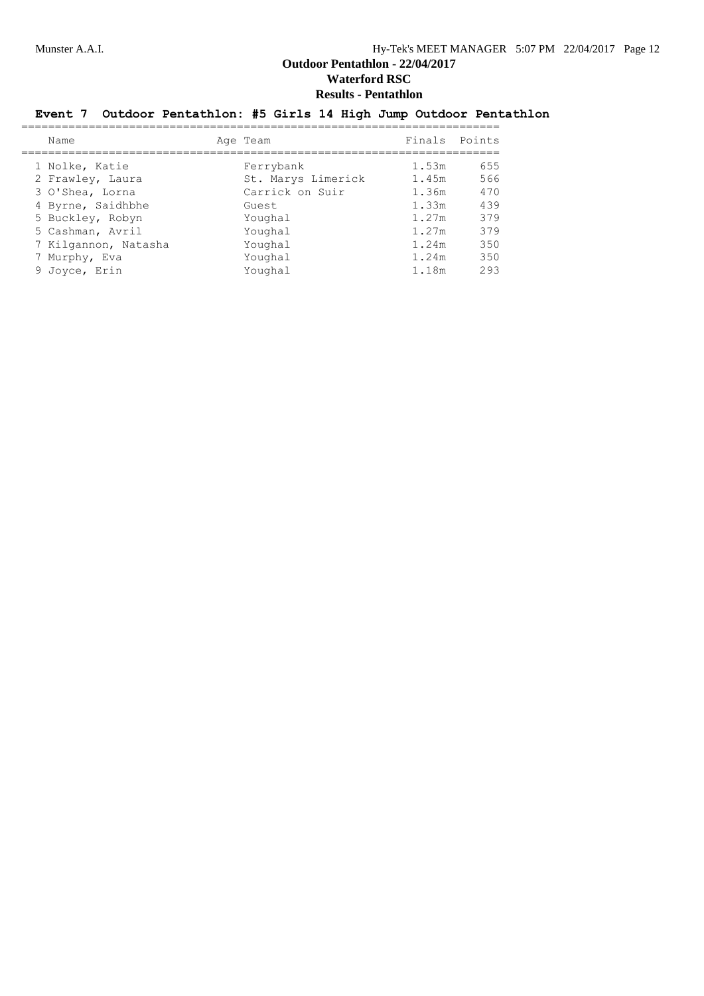# **Event 7 Outdoor Pentathlon: #5 Girls 14 High Jump Outdoor Pentathlon**

| Name                 | Age Team           | Finals Points |     |
|----------------------|--------------------|---------------|-----|
| 1 Nolke, Katie       | Ferrybank          | 1.53m         | 655 |
| 2 Frawley, Laura     | St. Marys Limerick | 1.45m         | 566 |
| 3 O'Shea, Lorna      | Carrick on Suir    | 1.36m         | 470 |
| 4 Byrne, Saidhbhe    | Guest              | 1.33m         | 439 |
| 5 Buckley, Robyn     | Youghal            | 1.27m         | 379 |
| 5 Cashman, Avril     | Youghal            | 1.27m         | 379 |
| 7 Kilgannon, Natasha | Youghal            | 1.24m         | 350 |
| 7 Murphy, Eva        | Youghal            | 1.24m         | 350 |
| 9 Joyce, Erin        | Youghal            | 1.18m         | 293 |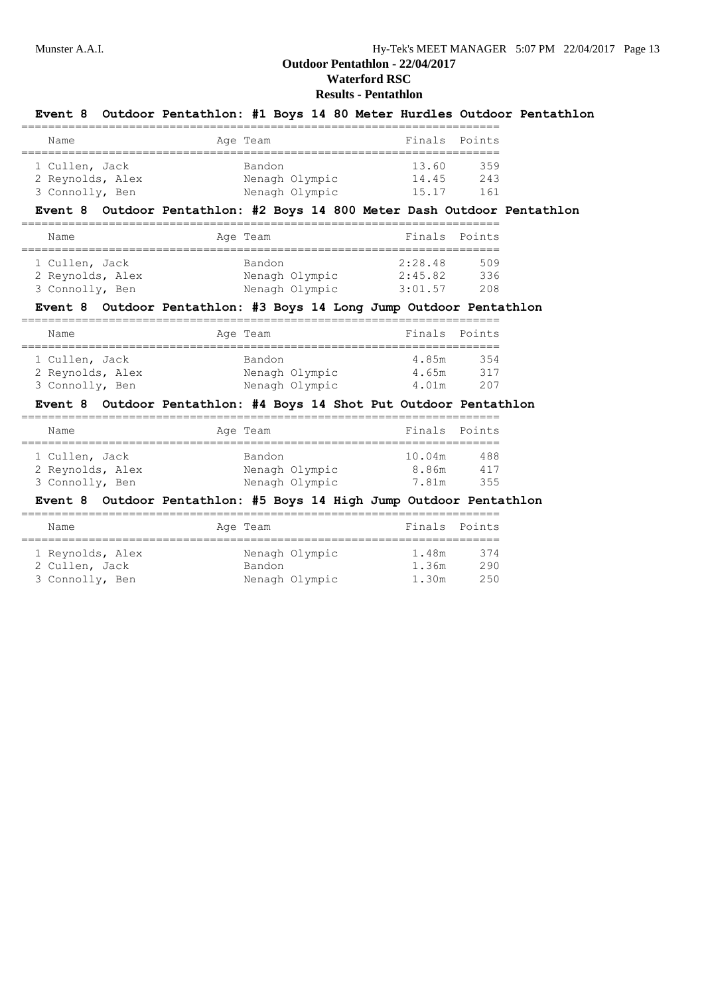# **Results - Pentathlon**

| Event 8 Outdoor Pentathlon: #1 Boys 14 80 Meter Hurdles Outdoor Pentathlon                                                   |                              |                                  |                                                        |                   |  |
|------------------------------------------------------------------------------------------------------------------------------|------------------------------|----------------------------------|--------------------------------------------------------|-------------------|--|
| Name                                                                                                                         | Age Team                     |                                  |                                                        | Finals Points     |  |
| 1 Cullen, Jack<br>2 Reynolds, Alex<br>3 Connolly, Ben                                                                        | Bandon<br>Nenagh Olympic     | Nenagh Olympic                   | 13.60<br>14.45<br>15.17                                | 359<br>243<br>161 |  |
| Event 8 Outdoor Pentathlon: #2 Boys 14 800 Meter Dash Outdoor Pentathlon                                                     | ;=========================== |                                  |                                                        |                   |  |
| Name                                                                                                                         | Age Team                     |                                  |                                                        | Finals Points     |  |
| 1 Cullen, Jack<br>2 Reynolds, Alex<br>3 Connolly, Ben                                                                        | Bandon                       | Nenagh Olympic<br>Nenagh Olympic | 2:28.48<br>2:45.82<br>3:01.57                          | 509<br>336<br>208 |  |
| Event 8 Outdoor Pentathlon: #3 Boys 14 Long Jump Outdoor Pentathlon                                                          |                              |                                  |                                                        |                   |  |
| Name                                                                                                                         | Age Team                     |                                  | Finals                                                 | Points            |  |
| 1 Cullen, Jack<br>2 Reynolds, Alex<br>3 Connolly, Ben<br>Event 8 Outdoor Pentathlon: #4 Boys 14 Shot Put Outdoor Pentathlon  | Bandon                       | Nenagh Olympic<br>Nenagh Olympic | 4.85m<br>4.65m<br>4.01m                                | 354<br>317<br>207 |  |
| Name                                                                                                                         | Age Team                     |                                  |                                                        | Finals Points     |  |
| 1 Cullen, Jack<br>2 Reynolds, Alex<br>3 Connolly, Ben<br>Event 8 Outdoor Pentathlon: #5 Boys 14 High Jump Outdoor Pentathlon | Bandon                       |                                  | 10.04m<br>Nenagh Olympic 8.86m<br>Nenagh Olympic 7.81m | 488<br>417<br>355 |  |
| Name                                                                                                                         | Age Team                     |                                  | Finals                                                 | Points            |  |
| 1 Reynolds, Alex<br>2 Cullen, Jack                                                                                           | Bandon                       | Nenagh Olympic                   | 1.48m<br>1.36m                                         | 374<br>290        |  |

3 Connolly, Ben Nenagh Olympic 1.30m 250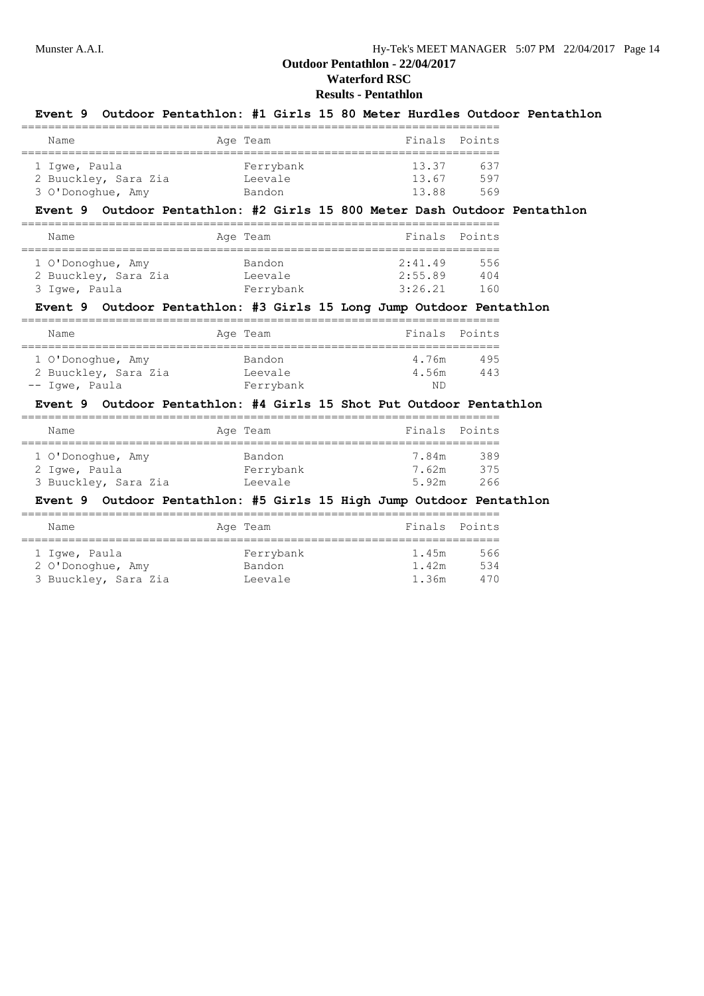# **Results - Pentathlon**

| Event 9 Outdoor Pentathlon: #1 Girls 15 80 Meter Hurdles Outdoor Pentathlon                                                                   |                                |                                                   |                  |
|-----------------------------------------------------------------------------------------------------------------------------------------------|--------------------------------|---------------------------------------------------|------------------|
| Name                                                                                                                                          | Age Team                       | Finals                                            | Points           |
| 1 Iqwe, Paula<br>2 Buuckley, Sara Zia<br>3 O'Donoghue, Amy                                                                                    | Ferrybank<br>Leevale<br>Bandon | 13.37<br>13.67 597<br>13.88                       | 637<br>569       |
| Event 9 Outdoor Pentathlon: #2 Girls 15 800 Meter Dash Outdoor Pentathlon                                                                     |                                |                                                   |                  |
| Name<br>====================================                                                                                                  | Age Team                       | ===================================               | Finals Points    |
| 1 O'Donoghue, Amy<br>2 Buuckley, Sara Zia<br>3 Iqwe, Paula<br>Event 9 Outdoor Pentathlon: #3 Girls 15 Long Jump Outdoor Pentathlon            | Bandon<br>Leevale<br>Ferrybank | 2:41.49<br>2:55.89 404<br>3:26.21                 | 556<br>160       |
| Name                                                                                                                                          | Age Team                       |                                                   | Finals Points    |
| 1 O'Donoghue, Amy<br>2 Buuckley, Sara Zia<br>-- Iqwe, Paula                                                                                   | Bandon<br>Leevale<br>Ferrybank | ----------------------------------<br>4.76m<br>ND | 495<br>4.56m 443 |
| Event 9 Outdoor Pentathlon: #4 Girls 15 Shot Put Outdoor Pentathlon                                                                           |                                |                                                   |                  |
| Name                                                                                                                                          | Age Team                       |                                                   | Finals Points    |
| 1 O'Donoghue, Amy<br>2 Iqwe, Paula<br>3 Buuckley, Sara Zia in Leevale<br>Event 9 Outdoor Pentathlon: #5 Girls 15 High Jump Outdoor Pentathlon | Bandon<br>Ferrybank            | 7.84m<br>7.62m 375<br>5.92m                       | 389<br>266       |
| Name                                                                                                                                          | Age Team                       |                                                   | Finals Points    |
| ==================<br>1 Igwe, Paula<br>2 O'Donoghue, Amy                                                                                      | Ferrybank<br>Bandon            | 1.45m<br>1.42m                                    | 566<br>534       |

3 Buuckley, Sara Zia Leevale 1.36m 470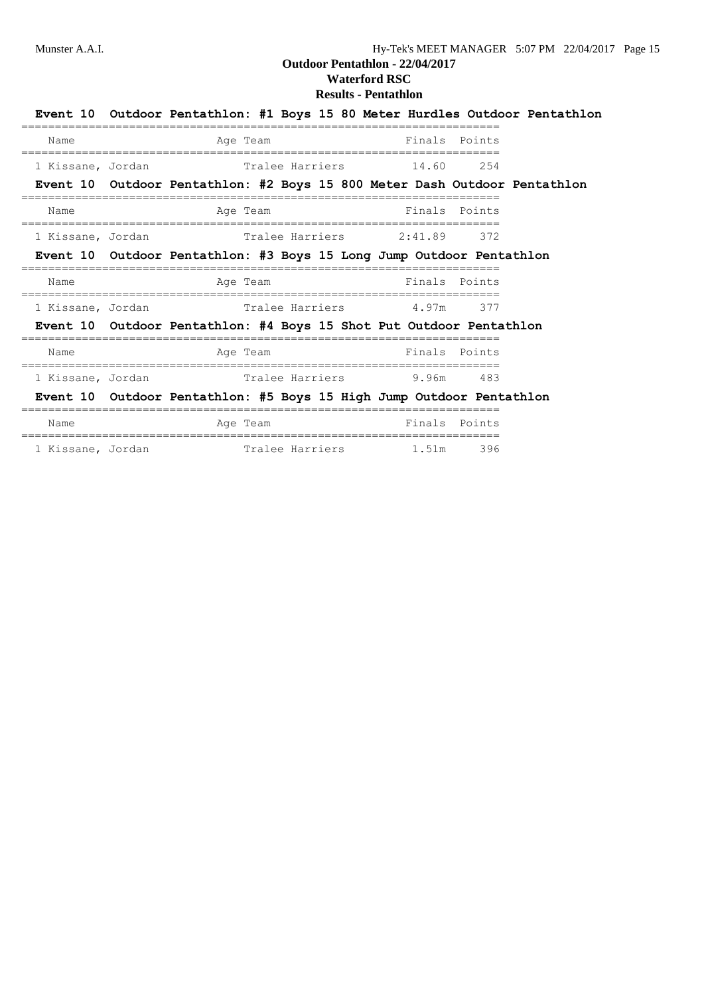# **Outdoor Pentathlon - 22/04/2017**

# **Waterford RSC Results - Pentathlon**

|                   |                                                                           |  |               |               |        | Event 10 Outdoor Pentathlon: #1 Boys 15 80 Meter Hurdles Outdoor Pentathlon |
|-------------------|---------------------------------------------------------------------------|--|---------------|---------------|--------|-----------------------------------------------------------------------------|
| Name              | Age Team                                                                  |  | Finals Points |               |        |                                                                             |
| 1 Kissane, Jordan | Tralee Harriers 14.60                                                     |  |               |               | 254    |                                                                             |
|                   | Event 10 Outdoor Pentathlon: #2 Boys 15 800 Meter Dash Outdoor Pentathlon |  |               |               |        |                                                                             |
| Name              | Age Team<br>===============                                               |  | Finals Points |               |        |                                                                             |
| 1 Kissane, Jordan | Tralee Harriers 2:41.89                                                   |  |               |               | 372    |                                                                             |
|                   | Event 10 Outdoor Pentathlon: #3 Boys 15 Long Jump Outdoor Pentathlon      |  |               |               |        |                                                                             |
| Name              | Age Team                                                                  |  |               | Finals Points |        |                                                                             |
| 1 Kissane, Jordan | Tralee Harriers 1.97m 377                                                 |  |               |               |        |                                                                             |
|                   | Event 10 Outdoor Pentathlon: #4 Boys 15 Shot Put Outdoor Pentathlon       |  |               |               |        |                                                                             |
| Name              | Age Team                                                                  |  |               | Finals Points |        |                                                                             |
| 1 Kissane, Jordan |                                                                           |  |               |               |        |                                                                             |
|                   | Event 10 Outdoor Pentathlon: #5 Boys 15 High Jump Outdoor Pentathlon      |  |               |               |        |                                                                             |
| Name              | Age Team                                                                  |  |               | Finals        | Points |                                                                             |

1 Kissane, Jordan **1.51m** Tralee Harriers 1.51m 396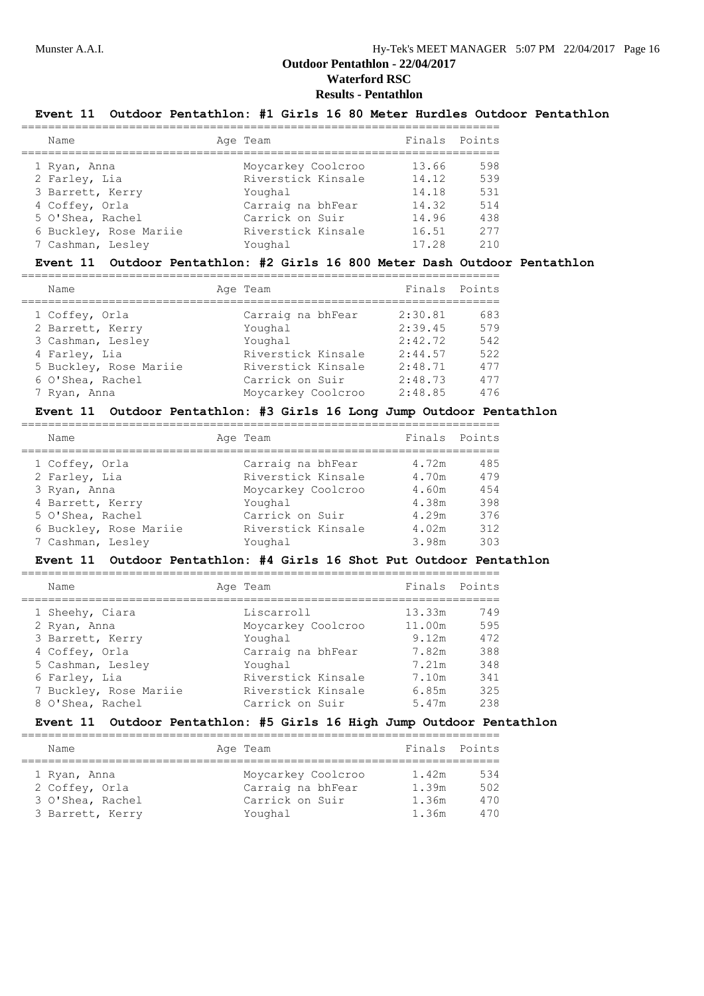#### **Results - Pentathlon**

### **Event 11 Outdoor Pentathlon: #1 Girls 16 80 Meter Hurdles Outdoor Pentathlon**

| Name                   | Age Team           |       | Finals Points |
|------------------------|--------------------|-------|---------------|
| 1 Ryan, Anna           | Moycarkey Coolcroo | 13.66 | 598           |
| 2 Farley, Lia          | Riverstick Kinsale | 14.12 | 539           |
| 3 Barrett, Kerry       | Youghal            | 14.18 | 531           |
| 4 Coffey, Orla         | Carraig na bhFear  | 14.32 | 514           |
| 5 O'Shea, Rachel       | Carrick on Suir    | 14.96 | 438           |
| 6 Buckley, Rose Mariie | Riverstick Kinsale | 16.51 | 277           |
| 7 Cashman, Lesley      | Youghal            | 17.28 | 210           |

#### **Event 11 Outdoor Pentathlon: #2 Girls 16 800 Meter Dash Outdoor Pentathlon**

| Name                   | Age Team           | Finals Points |     |
|------------------------|--------------------|---------------|-----|
| 1 Coffey, Orla         | Carraig na bhFear  | 2:30.81       | 683 |
| 2 Barrett, Kerry       | Youghal            | 2:39.45       | 579 |
| 3 Cashman, Lesley      | Youghal            | 2:42.72       | 542 |
| 4 Farley, Lia          | Riverstick Kinsale | 2:44.57       | 522 |
| 5 Buckley, Rose Mariie | Riverstick Kinsale | 2:48.71       | 477 |
| 6 O'Shea, Rachel       | Carrick on Suir    | 2:48.73       | 477 |
| 7 Ryan, Anna           | Moycarkey Coolcroo | 2:48.85       | 476 |
|                        |                    |               |     |

#### **Event 11 Outdoor Pentathlon: #3 Girls 16 Long Jump Outdoor Pentathlon**

| Name                   | Age Team           |       | Finals Points |
|------------------------|--------------------|-------|---------------|
| 1 Coffey, Orla         | Carraig na bhFear  | 4.72m | 485           |
| 2 Farley, Lia          | Riverstick Kinsale | 4.70m | 479           |
| 3 Ryan, Anna           | Moycarkey Coolcroo | 4.60m | 454           |
| 4 Barrett, Kerry       | Youghal            | 4.38m | 398           |
| 5 O'Shea, Rachel       | Carrick on Suir    | 4.29m | 376           |
| 6 Buckley, Rose Mariie | Riverstick Kinsale | 4.02m | 312           |
| 7 Cashman, Lesley      | Youghal            | 3.98m | 303           |

#### **Event 11 Outdoor Pentathlon: #4 Girls 16 Shot Put Outdoor Pentathlon**

| Name                   | Age Team           |        | Finals Points |
|------------------------|--------------------|--------|---------------|
| 1 Sheehy, Ciara        | Liscarroll         | 13.33m | 749           |
| 2 Ryan, Anna           | Moycarkey Coolcroo | 11.00m | 595           |
| 3 Barrett, Kerry       | Youghal            | 9.12m  | 472           |
| 4 Coffey, Orla         | Carraig na bhFear  | 7.82m  | 388           |
| 5 Cashman, Lesley      | Youghal            | 7.21m  | 348           |
| 6 Farley, Lia          | Riverstick Kinsale | 7.10m  | 341           |
| 7 Buckley, Rose Mariie | Riverstick Kinsale | 6.85m  | 325           |
| 8 O'Shea, Rachel       | Carrick on Suir    | 5.47m  | 238           |

# **Event 11 Outdoor Pentathlon: #5 Girls 16 High Jump Outdoor Pentathlon**

| Name                                                                   |  | Age Team                                                              | Finals Points                    |                          |
|------------------------------------------------------------------------|--|-----------------------------------------------------------------------|----------------------------------|--------------------------|
| 1 Ryan, Anna<br>2 Coffey, Orla<br>3 O'Shea, Rachel<br>3 Barrett, Kerry |  | Moycarkey Coolcroo<br>Carraig na bhFear<br>Carrick on Suir<br>Youghal | 1.42m<br>1.39m<br>1.36m<br>1.36m | 534<br>502<br>470<br>470 |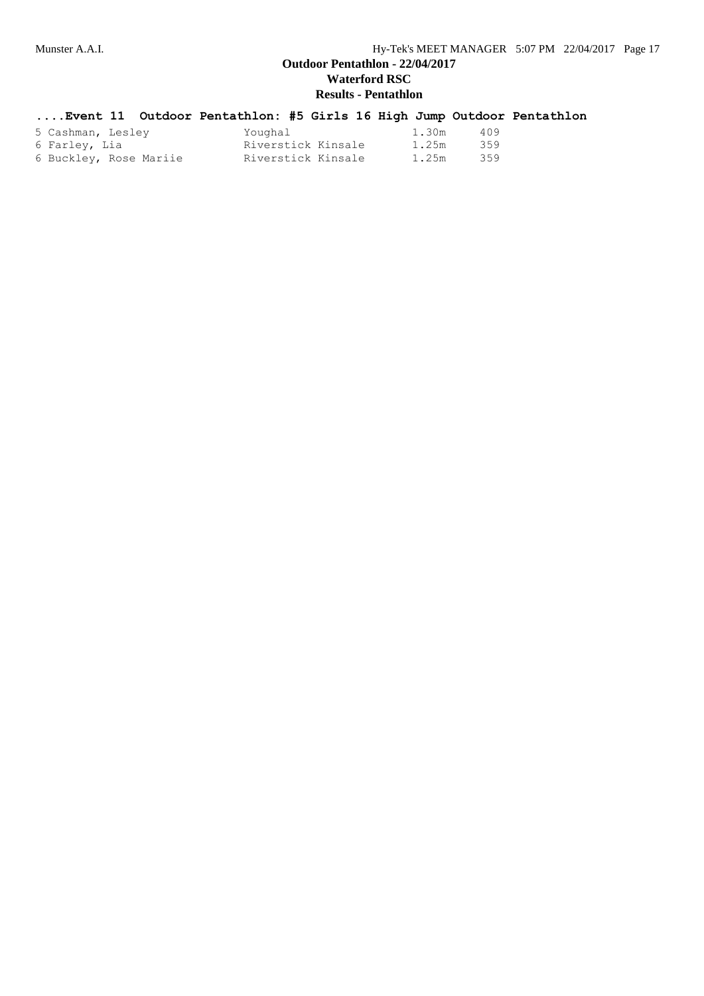|                        | Event 11 Outdoor Pentathlon: #5 Girls 16 High Jump Outdoor Pentathlon |  |       |     |  |
|------------------------|-----------------------------------------------------------------------|--|-------|-----|--|
| 5 Cashman, Lesley      | Youghal                                                               |  | 1.30m | 409 |  |
| 6 Farley, Lia          | Riverstick Kinsale                                                    |  | 1.25m | 359 |  |
| 6 Buckley, Rose Mariie | Riverstick Kinsale                                                    |  | 1.25m | 359 |  |